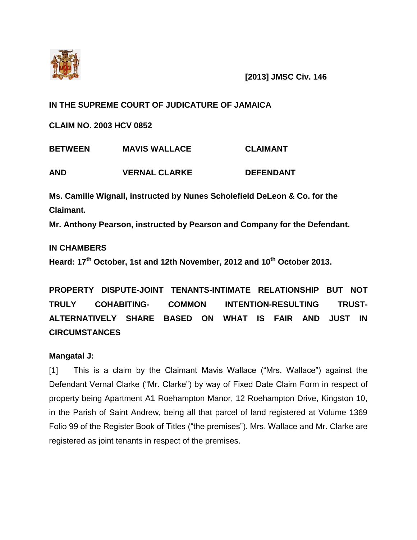

**[2013] JMSC Civ. 146**

# **IN THE SUPREME COURT OF JUDICATURE OF JAMAICA**

**CLAIM NO. 2003 HCV 0852**

| <b>BETWEEN</b> | <b>MAVIS WALLACE</b> | <b>CLAIMANT</b>  |
|----------------|----------------------|------------------|
| <b>AND</b>     | <b>VERNAL CLARKE</b> | <b>DEFENDANT</b> |

**Ms. Camille Wignall, instructed by Nunes Scholefield DeLeon & Co. for the Claimant.**

**Mr. Anthony Pearson, instructed by Pearson and Company for the Defendant.**

# **IN CHAMBERS**

**Heard: 17th October, 1st and 12th November, 2012 and 10 th October 2013.**

**PROPERTY DISPUTE-JOINT TENANTS-INTIMATE RELATIONSHIP BUT NOT TRULY COHABITING- COMMON INTENTION-RESULTING TRUST-ALTERNATIVELY SHARE BASED ON WHAT IS FAIR AND JUST IN CIRCUMSTANCES**

## **Mangatal J:**

[1] This is a claim by the Claimant Mavis Wallace ("Mrs. Wallace") against the Defendant Vernal Clarke ("Mr. Clarke") by way of Fixed Date Claim Form in respect of property being Apartment A1 Roehampton Manor, 12 Roehampton Drive, Kingston 10, in the Parish of Saint Andrew, being all that parcel of land registered at Volume 1369 Folio 99 of the Register Book of Titles ("the premises"). Mrs. Wallace and Mr. Clarke are registered as joint tenants in respect of the premises.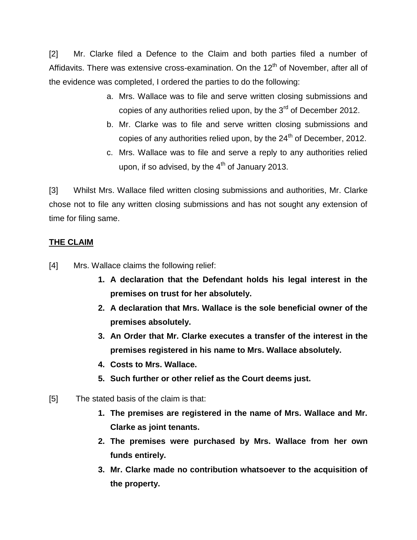[2] Mr. Clarke filed a Defence to the Claim and both parties filed a number of Affidavits. There was extensive cross-examination. On the  $12<sup>th</sup>$  of November, after all of the evidence was completed, I ordered the parties to do the following:

- a. Mrs. Wallace was to file and serve written closing submissions and copies of any authorities relied upon, by the 3<sup>rd</sup> of December 2012.
- b. Mr. Clarke was to file and serve written closing submissions and copies of any authorities relied upon, by the  $24<sup>th</sup>$  of December, 2012.
- c. Mrs. Wallace was to file and serve a reply to any authorities relied upon, if so advised, by the  $4<sup>th</sup>$  of January 2013.

[3] Whilst Mrs. Wallace filed written closing submissions and authorities, Mr. Clarke chose not to file any written closing submissions and has not sought any extension of time for filing same.

# **THE CLAIM**

- [4] Mrs. Wallace claims the following relief:
	- **1. A declaration that the Defendant holds his legal interest in the premises on trust for her absolutely.**
	- **2. A declaration that Mrs. Wallace is the sole beneficial owner of the premises absolutely.**
	- **3. An Order that Mr. Clarke executes a transfer of the interest in the premises registered in his name to Mrs. Wallace absolutely.**
	- **4. Costs to Mrs. Wallace.**
	- **5. Such further or other relief as the Court deems just.**
- [5] The stated basis of the claim is that:
	- **1. The premises are registered in the name of Mrs. Wallace and Mr. Clarke as joint tenants.**
	- **2. The premises were purchased by Mrs. Wallace from her own funds entirely.**
	- **3. Mr. Clarke made no contribution whatsoever to the acquisition of the property.**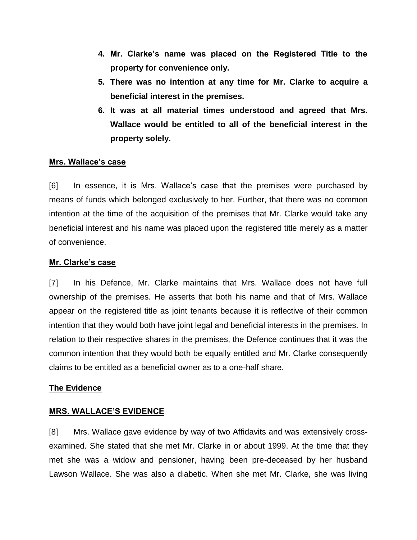- **4. Mr. Clarke's name was placed on the Registered Title to the property for convenience only.**
- **5. There was no intention at any time for Mr. Clarke to acquire a beneficial interest in the premises.**
- **6. It was at all material times understood and agreed that Mrs. Wallace would be entitled to all of the beneficial interest in the property solely.**

#### **Mrs. Wallace's case**

[6] In essence, it is Mrs. Wallace's case that the premises were purchased by means of funds which belonged exclusively to her. Further, that there was no common intention at the time of the acquisition of the premises that Mr. Clarke would take any beneficial interest and his name was placed upon the registered title merely as a matter of convenience.

#### **Mr. Clarke's case**

[7] In his Defence, Mr. Clarke maintains that Mrs. Wallace does not have full ownership of the premises. He asserts that both his name and that of Mrs. Wallace appear on the registered title as joint tenants because it is reflective of their common intention that they would both have joint legal and beneficial interests in the premises. In relation to their respective shares in the premises, the Defence continues that it was the common intention that they would both be equally entitled and Mr. Clarke consequently claims to be entitled as a beneficial owner as to a one-half share.

### **The Evidence**

### **MRS. WALLACE'S EVIDENCE**

[8] Mrs. Wallace gave evidence by way of two Affidavits and was extensively crossexamined. She stated that she met Mr. Clarke in or about 1999. At the time that they met she was a widow and pensioner, having been pre-deceased by her husband Lawson Wallace. She was also a diabetic. When she met Mr. Clarke, she was living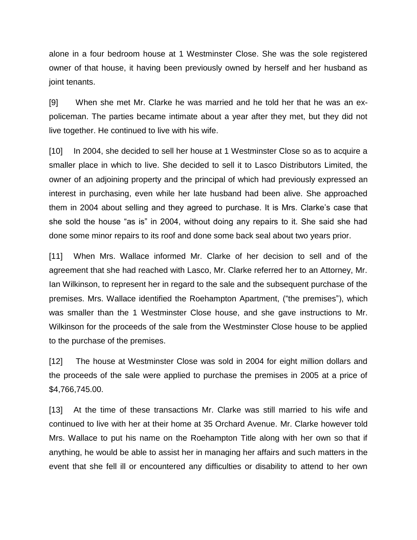alone in a four bedroom house at 1 Westminster Close. She was the sole registered owner of that house, it having been previously owned by herself and her husband as joint tenants.

[9] When she met Mr. Clarke he was married and he told her that he was an expoliceman. The parties became intimate about a year after they met, but they did not live together. He continued to live with his wife.

[10] In 2004, she decided to sell her house at 1 Westminster Close so as to acquire a smaller place in which to live. She decided to sell it to Lasco Distributors Limited, the owner of an adjoining property and the principal of which had previously expressed an interest in purchasing, even while her late husband had been alive. She approached them in 2004 about selling and they agreed to purchase. It is Mrs. Clarke's case that she sold the house "as is" in 2004, without doing any repairs to it. She said she had done some minor repairs to its roof and done some back seal about two years prior.

[11] When Mrs. Wallace informed Mr. Clarke of her decision to sell and of the agreement that she had reached with Lasco, Mr. Clarke referred her to an Attorney, Mr. Ian Wilkinson, to represent her in regard to the sale and the subsequent purchase of the premises. Mrs. Wallace identified the Roehampton Apartment, ("the premises"), which was smaller than the 1 Westminster Close house, and she gave instructions to Mr. Wilkinson for the proceeds of the sale from the Westminster Close house to be applied to the purchase of the premises.

[12] The house at Westminster Close was sold in 2004 for eight million dollars and the proceeds of the sale were applied to purchase the premises in 2005 at a price of \$4,766,745.00.

[13] At the time of these transactions Mr. Clarke was still married to his wife and continued to live with her at their home at 35 Orchard Avenue. Mr. Clarke however told Mrs. Wallace to put his name on the Roehampton Title along with her own so that if anything, he would be able to assist her in managing her affairs and such matters in the event that she fell ill or encountered any difficulties or disability to attend to her own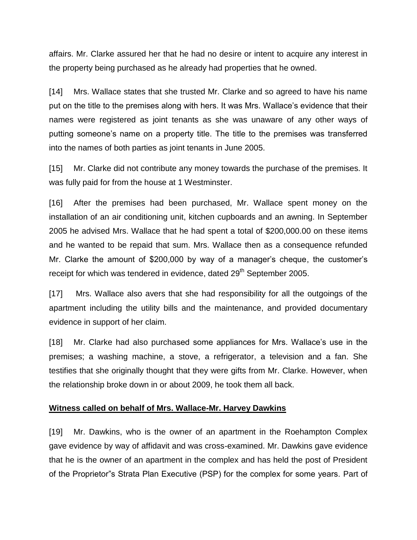affairs. Mr. Clarke assured her that he had no desire or intent to acquire any interest in the property being purchased as he already had properties that he owned.

[14] Mrs. Wallace states that she trusted Mr. Clarke and so agreed to have his name put on the title to the premises along with hers. It was Mrs. Wallace's evidence that their names were registered as joint tenants as she was unaware of any other ways of putting someone's name on a property title. The title to the premises was transferred into the names of both parties as joint tenants in June 2005.

[15] Mr. Clarke did not contribute any money towards the purchase of the premises. It was fully paid for from the house at 1 Westminster.

[16] After the premises had been purchased, Mr. Wallace spent money on the installation of an air conditioning unit, kitchen cupboards and an awning. In September 2005 he advised Mrs. Wallace that he had spent a total of \$200,000.00 on these items and he wanted to be repaid that sum. Mrs. Wallace then as a consequence refunded Mr. Clarke the amount of \$200,000 by way of a manager's cheque, the customer's receipt for which was tendered in evidence, dated 29<sup>th</sup> September 2005.

[17] Mrs. Wallace also avers that she had responsibility for all the outgoings of the apartment including the utility bills and the maintenance, and provided documentary evidence in support of her claim.

[18] Mr. Clarke had also purchased some appliances for Mrs. Wallace's use in the premises; a washing machine, a stove, a refrigerator, a television and a fan. She testifies that she originally thought that they were gifts from Mr. Clarke. However, when the relationship broke down in or about 2009, he took them all back.

### **Witness called on behalf of Mrs. Wallace-Mr. Harvey Dawkins**

[19] Mr. Dawkins, who is the owner of an apartment in the Roehampton Complex gave evidence by way of affidavit and was cross-examined. Mr. Dawkins gave evidence that he is the owner of an apartment in the complex and has held the post of President of the Proprietor"s Strata Plan Executive (PSP) for the complex for some years. Part of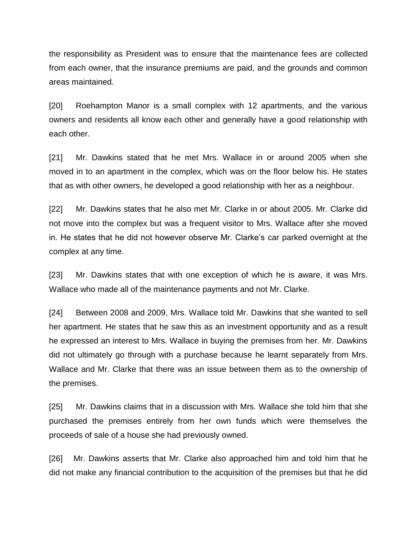the responsibility as President was to ensure that the maintenance fees are collected from each owner, that the insurance premiums are paid, and the grounds and common areas maintained.

[20] Roehampton Manor is a small complex with 12 apartments, and the various owners and residents all know each other and generally have a good relationship with each other.

[21] Mr. Dawkins stated that he met Mrs. Wallace in or around 2005 when she moved in to an apartment in the complex, which was on the floor below his. He states that as with other owners, he developed a good relationship with her as a neighbour.

[22] Mr. Dawkins states that he also met Mr. Clarke in or about 2005. Mr. Clarke did not move into the complex but was a frequent visitor to Mrs. Wallace after she moved in. He states that he did not however observe Mr. Clarke's car parked overnight at the complex at any time.

[23] Mr. Dawkins states that with one exception of which he is aware, it was Mrs. Wallace who made all of the maintenance payments and not Mr. Clarke.

[24] Between 2008 and 2009, Mrs. Wallace told Mr. Dawkins that she wanted to sell her apartment. He states that he saw this as an investment opportunity and as a result he expressed an interest to Mrs. Wallace in buying the premises from her. Mr. Dawkins did not ultimately go through with a purchase because he learnt separately from Mrs. Wallace and Mr. Clarke that there was an issue between them as to the ownership of the premises.

[25] Mr. Dawkins claims that in a discussion with Mrs. Wallace she told him that she purchased the premises entirely from her own funds which were themselves the proceeds of sale of a house she had previously owned.

[26] Mr. Dawkins asserts that Mr. Clarke also approached him and told him that he did not make any financial contribution to the acquisition of the premises but that he did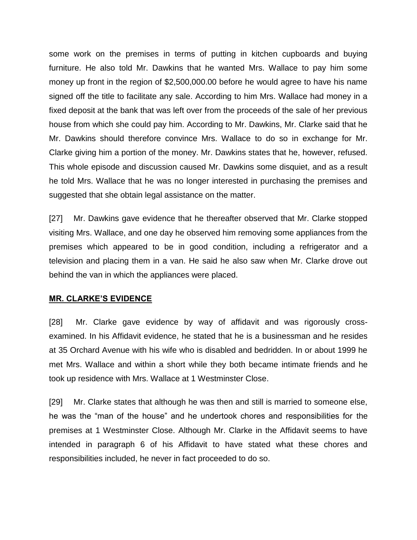some work on the premises in terms of putting in kitchen cupboards and buying furniture. He also told Mr. Dawkins that he wanted Mrs. Wallace to pay him some money up front in the region of \$2,500,000.00 before he would agree to have his name signed off the title to facilitate any sale. According to him Mrs. Wallace had money in a fixed deposit at the bank that was left over from the proceeds of the sale of her previous house from which she could pay him. According to Mr. Dawkins, Mr. Clarke said that he Mr. Dawkins should therefore convince Mrs. Wallace to do so in exchange for Mr. Clarke giving him a portion of the money. Mr. Dawkins states that he, however, refused. This whole episode and discussion caused Mr. Dawkins some disquiet, and as a result he told Mrs. Wallace that he was no longer interested in purchasing the premises and suggested that she obtain legal assistance on the matter.

[27] Mr. Dawkins gave evidence that he thereafter observed that Mr. Clarke stopped visiting Mrs. Wallace, and one day he observed him removing some appliances from the premises which appeared to be in good condition, including a refrigerator and a television and placing them in a van. He said he also saw when Mr. Clarke drove out behind the van in which the appliances were placed.

### **MR. CLARKE'S EVIDENCE**

[28] Mr. Clarke gave evidence by way of affidavit and was rigorously crossexamined. In his Affidavit evidence, he stated that he is a businessman and he resides at 35 Orchard Avenue with his wife who is disabled and bedridden. In or about 1999 he met Mrs. Wallace and within a short while they both became intimate friends and he took up residence with Mrs. Wallace at 1 Westminster Close.

[29] Mr. Clarke states that although he was then and still is married to someone else, he was the "man of the house" and he undertook chores and responsibilities for the premises at 1 Westminster Close. Although Mr. Clarke in the Affidavit seems to have intended in paragraph 6 of his Affidavit to have stated what these chores and responsibilities included, he never in fact proceeded to do so.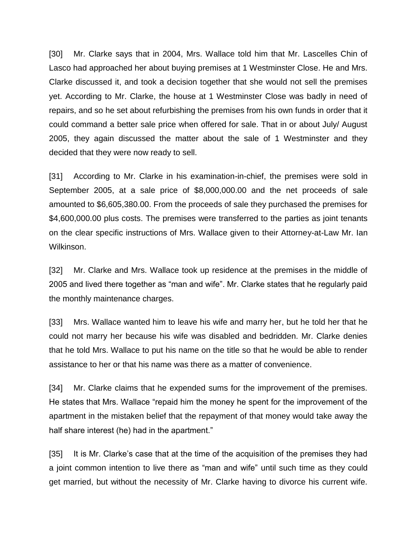[30] Mr. Clarke says that in 2004, Mrs. Wallace told him that Mr. Lascelles Chin of Lasco had approached her about buying premises at 1 Westminster Close. He and Mrs. Clarke discussed it, and took a decision together that she would not sell the premises yet. According to Mr. Clarke, the house at 1 Westminster Close was badly in need of repairs, and so he set about refurbishing the premises from his own funds in order that it could command a better sale price when offered for sale. That in or about July/ August 2005, they again discussed the matter about the sale of 1 Westminster and they decided that they were now ready to sell.

[31] According to Mr. Clarke in his examination-in-chief, the premises were sold in September 2005, at a sale price of \$8,000,000.00 and the net proceeds of sale amounted to \$6,605,380.00. From the proceeds of sale they purchased the premises for \$4,600,000.00 plus costs. The premises were transferred to the parties as joint tenants on the clear specific instructions of Mrs. Wallace given to their Attorney-at-Law Mr. Ian Wilkinson.

[32] Mr. Clarke and Mrs. Wallace took up residence at the premises in the middle of 2005 and lived there together as "man and wife". Mr. Clarke states that he regularly paid the monthly maintenance charges.

[33] Mrs. Wallace wanted him to leave his wife and marry her, but he told her that he could not marry her because his wife was disabled and bedridden. Mr. Clarke denies that he told Mrs. Wallace to put his name on the title so that he would be able to render assistance to her or that his name was there as a matter of convenience.

[34] Mr. Clarke claims that he expended sums for the improvement of the premises. He states that Mrs. Wallace "repaid him the money he spent for the improvement of the apartment in the mistaken belief that the repayment of that money would take away the half share interest (he) had in the apartment."

[35] It is Mr. Clarke's case that at the time of the acquisition of the premises they had a joint common intention to live there as "man and wife" until such time as they could get married, but without the necessity of Mr. Clarke having to divorce his current wife.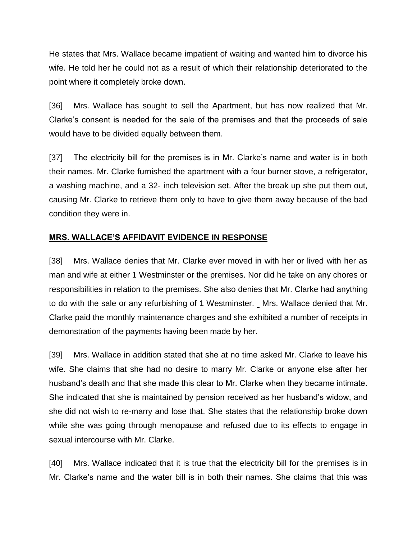He states that Mrs. Wallace became impatient of waiting and wanted him to divorce his wife. He told her he could not as a result of which their relationship deteriorated to the point where it completely broke down.

[36] Mrs. Wallace has sought to sell the Apartment, but has now realized that Mr. Clarke's consent is needed for the sale of the premises and that the proceeds of sale would have to be divided equally between them.

[37] The electricity bill for the premises is in Mr. Clarke's name and water is in both their names. Mr. Clarke furnished the apartment with a four burner stove, a refrigerator, a washing machine, and a 32- inch television set. After the break up she put them out, causing Mr. Clarke to retrieve them only to have to give them away because of the bad condition they were in.

## **MRS. WALLACE'S AFFIDAVIT EVIDENCE IN RESPONSE**

[38] Mrs. Wallace denies that Mr. Clarke ever moved in with her or lived with her as man and wife at either 1 Westminster or the premises. Nor did he take on any chores or responsibilities in relation to the premises. She also denies that Mr. Clarke had anything to do with the sale or any refurbishing of 1 Westminster. Mrs. Wallace denied that Mr. Clarke paid the monthly maintenance charges and she exhibited a number of receipts in demonstration of the payments having been made by her.

[39] Mrs. Wallace in addition stated that she at no time asked Mr. Clarke to leave his wife. She claims that she had no desire to marry Mr. Clarke or anyone else after her husband's death and that she made this clear to Mr. Clarke when they became intimate. She indicated that she is maintained by pension received as her husband's widow, and she did not wish to re-marry and lose that. She states that the relationship broke down while she was going through menopause and refused due to its effects to engage in sexual intercourse with Mr. Clarke.

[40] Mrs. Wallace indicated that it is true that the electricity bill for the premises is in Mr. Clarke's name and the water bill is in both their names. She claims that this was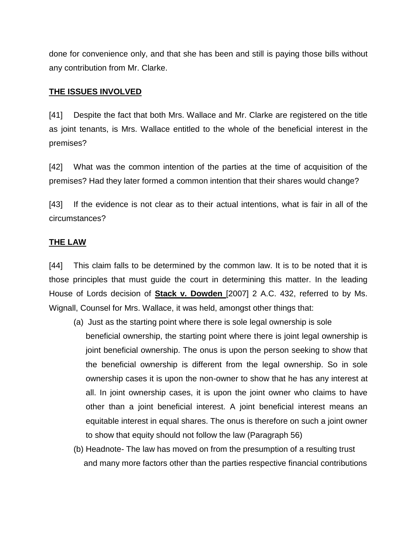done for convenience only, and that she has been and still is paying those bills without any contribution from Mr. Clarke.

### **THE ISSUES INVOLVED**

[41] Despite the fact that both Mrs. Wallace and Mr. Clarke are registered on the title as joint tenants, is Mrs. Wallace entitled to the whole of the beneficial interest in the premises?

[42] What was the common intention of the parties at the time of acquisition of the premises? Had they later formed a common intention that their shares would change?

[43] If the evidence is not clear as to their actual intentions, what is fair in all of the circumstances?

## **THE LAW**

[44] This claim falls to be determined by the common law. It is to be noted that it is those principles that must guide the court in determining this matter. In the leading House of Lords decision of **Stack v. Dowden** [2007] 2 A.C. 432, referred to by Ms. Wignall, Counsel for Mrs. Wallace, it was held, amongst other things that:

- (a) Just as the starting point where there is sole legal ownership is sole beneficial ownership, the starting point where there is joint legal ownership is joint beneficial ownership. The onus is upon the person seeking to show that the beneficial ownership is different from the legal ownership. So in sole ownership cases it is upon the non-owner to show that he has any interest at all. In joint ownership cases, it is upon the joint owner who claims to have other than a joint beneficial interest. A joint beneficial interest means an equitable interest in equal shares. The onus is therefore on such a joint owner to show that equity should not follow the law (Paragraph 56)
- (b) Headnote- The law has moved on from the presumption of a resulting trust and many more factors other than the parties respective financial contributions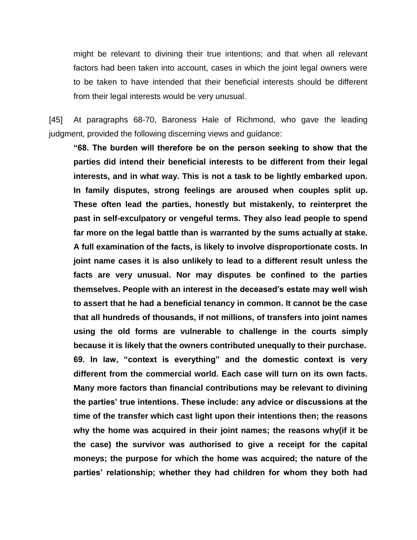might be relevant to divining their true intentions; and that when all relevant factors had been taken into account, cases in which the joint legal owners were to be taken to have intended that their beneficial interests should be different from their legal interests would be very unusual.

[45] At paragraphs 68-70, Baroness Hale of Richmond, who gave the leading judgment, provided the following discerning views and guidance:

**"68. The burden will therefore be on the person seeking to show that the parties did intend their beneficial interests to be different from their legal interests, and in what way. This is not a task to be lightly embarked upon. In family disputes, strong feelings are aroused when couples split up. These often lead the parties, honestly but mistakenly, to reinterpret the past in self-exculpatory or vengeful terms. They also lead people to spend far more on the legal battle than is warranted by the sums actually at stake. A full examination of the facts, is likely to involve disproportionate costs. In joint name cases it is also unlikely to lead to a different result unless the facts are very unusual. Nor may disputes be confined to the parties themselves. People with an interest in the deceased's estate may well wish to assert that he had a beneficial tenancy in common. It cannot be the case that all hundreds of thousands, if not millions, of transfers into joint names using the old forms are vulnerable to challenge in the courts simply because it is likely that the owners contributed unequally to their purchase. 69. In law, "context is everything" and the domestic context is very different from the commercial world. Each case will turn on its own facts. Many more factors than financial contributions may be relevant to divining the parties' true intentions. These include: any advice or discussions at the time of the transfer which cast light upon their intentions then; the reasons why the home was acquired in their joint names; the reasons why(if it be the case) the survivor was authorised to give a receipt for the capital moneys; the purpose for which the home was acquired; the nature of the parties' relationship; whether they had children for whom they both had**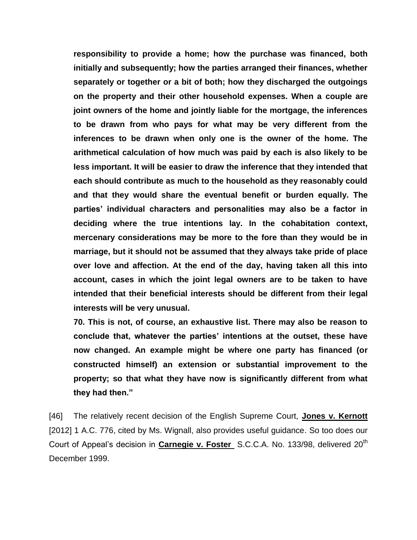**responsibility to provide a home; how the purchase was financed, both initially and subsequently; how the parties arranged their finances, whether separately or together or a bit of both; how they discharged the outgoings on the property and their other household expenses. When a couple are joint owners of the home and jointly liable for the mortgage, the inferences to be drawn from who pays for what may be very different from the inferences to be drawn when only one is the owner of the home. The arithmetical calculation of how much was paid by each is also likely to be less important. It will be easier to draw the inference that they intended that each should contribute as much to the household as they reasonably could and that they would share the eventual benefit or burden equally. The parties' individual characters and personalities may also be a factor in deciding where the true intentions lay. In the cohabitation context, mercenary considerations may be more to the fore than they would be in marriage, but it should not be assumed that they always take pride of place over love and affection. At the end of the day, having taken all this into account, cases in which the joint legal owners are to be taken to have intended that their beneficial interests should be different from their legal interests will be very unusual.** 

**70. This is not, of course, an exhaustive list. There may also be reason to conclude that, whatever the parties' intentions at the outset, these have now changed. An example might be where one party has financed (or constructed himself) an extension or substantial improvement to the property; so that what they have now is significantly different from what they had then."** 

[46] The relatively recent decision of the English Supreme Court, **Jones v. Kernott** [2012] 1 A.C. 776, cited by Ms. Wignall, also provides useful guidance. So too does our Court of Appeal's decision in **Carnegie v. Foster** S.C.C.A. No. 133/98, delivered 20<sup>th</sup> December 1999.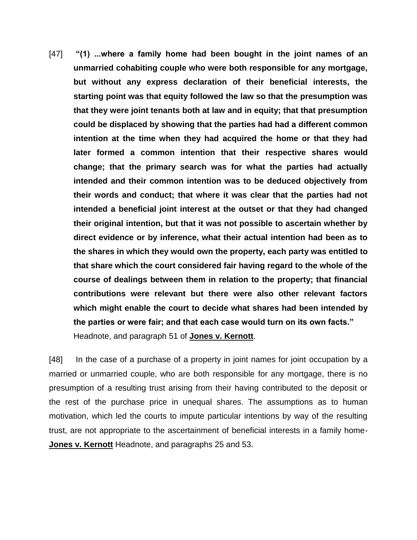[47] **"(1) ...where a family home had been bought in the joint names of an unmarried cohabiting couple who were both responsible for any mortgage, but without any express declaration of their beneficial interests, the starting point was that equity followed the law so that the presumption was that they were joint tenants both at law and in equity; that that presumption could be displaced by showing that the parties had had a different common intention at the time when they had acquired the home or that they had later formed a common intention that their respective shares would change; that the primary search was for what the parties had actually intended and their common intention was to be deduced objectively from their words and conduct; that where it was clear that the parties had not intended a beneficial joint interest at the outset or that they had changed their original intention, but that it was not possible to ascertain whether by direct evidence or by inference, what their actual intention had been as to the shares in which they would own the property, each party was entitled to that share which the court considered fair having regard to the whole of the course of dealings between them in relation to the property; that financial contributions were relevant but there were also other relevant factors which might enable the court to decide what shares had been intended by the parties or were fair; and that each case would turn on its own facts."** 

Headnote, and paragraph 51 of **Jones v. Kernott**.

[48] In the case of a purchase of a property in joint names for joint occupation by a married or unmarried couple, who are both responsible for any mortgage, there is no presumption of a resulting trust arising from their having contributed to the deposit or the rest of the purchase price in unequal shares. The assumptions as to human motivation, which led the courts to impute particular intentions by way of the resulting trust, are not appropriate to the ascertainment of beneficial interests in a family home-**Jones v. Kernott** Headnote, and paragraphs 25 and 53.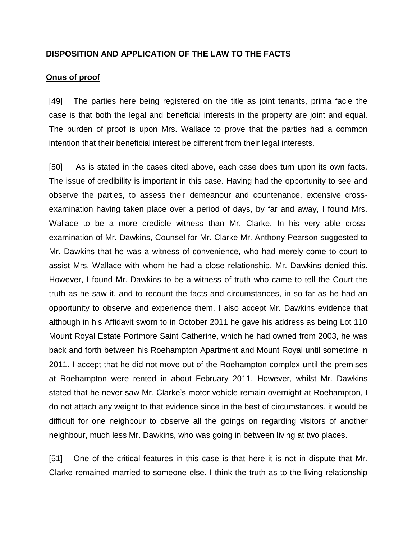#### **DISPOSITION AND APPLICATION OF THE LAW TO THE FACTS**

#### **Onus of proof**

[49] The parties here being registered on the title as joint tenants, prima facie the case is that both the legal and beneficial interests in the property are joint and equal. The burden of proof is upon Mrs. Wallace to prove that the parties had a common intention that their beneficial interest be different from their legal interests.

[50] As is stated in the cases cited above, each case does turn upon its own facts. The issue of credibility is important in this case. Having had the opportunity to see and observe the parties, to assess their demeanour and countenance, extensive crossexamination having taken place over a period of days, by far and away, I found Mrs. Wallace to be a more credible witness than Mr. Clarke. In his very able crossexamination of Mr. Dawkins, Counsel for Mr. Clarke Mr. Anthony Pearson suggested to Mr. Dawkins that he was a witness of convenience, who had merely come to court to assist Mrs. Wallace with whom he had a close relationship. Mr. Dawkins denied this. However, I found Mr. Dawkins to be a witness of truth who came to tell the Court the truth as he saw it, and to recount the facts and circumstances, in so far as he had an opportunity to observe and experience them. I also accept Mr. Dawkins evidence that although in his Affidavit sworn to in October 2011 he gave his address as being Lot 110 Mount Royal Estate Portmore Saint Catherine, which he had owned from 2003, he was back and forth between his Roehampton Apartment and Mount Royal until sometime in 2011. I accept that he did not move out of the Roehampton complex until the premises at Roehampton were rented in about February 2011. However, whilst Mr. Dawkins stated that he never saw Mr. Clarke's motor vehicle remain overnight at Roehampton, I do not attach any weight to that evidence since in the best of circumstances, it would be difficult for one neighbour to observe all the goings on regarding visitors of another neighbour, much less Mr. Dawkins, who was going in between living at two places.

[51] One of the critical features in this case is that here it is not in dispute that Mr. Clarke remained married to someone else. I think the truth as to the living relationship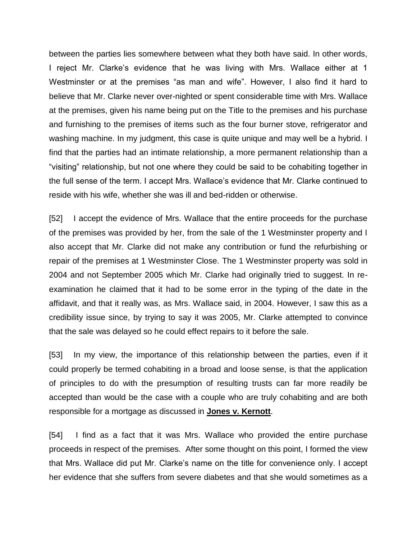between the parties lies somewhere between what they both have said. In other words, I reject Mr. Clarke's evidence that he was living with Mrs. Wallace either at 1 Westminster or at the premises "as man and wife". However, I also find it hard to believe that Mr. Clarke never over-nighted or spent considerable time with Mrs. Wallace at the premises, given his name being put on the Title to the premises and his purchase and furnishing to the premises of items such as the four burner stove, refrigerator and washing machine. In my judgment, this case is quite unique and may well be a hybrid. I find that the parties had an intimate relationship, a more permanent relationship than a "visiting" relationship, but not one where they could be said to be cohabiting together in the full sense of the term. I accept Mrs. Wallace's evidence that Mr. Clarke continued to reside with his wife, whether she was ill and bed-ridden or otherwise.

[52] I accept the evidence of Mrs. Wallace that the entire proceeds for the purchase of the premises was provided by her, from the sale of the 1 Westminster property and I also accept that Mr. Clarke did not make any contribution or fund the refurbishing or repair of the premises at 1 Westminster Close. The 1 Westminster property was sold in 2004 and not September 2005 which Mr. Clarke had originally tried to suggest. In reexamination he claimed that it had to be some error in the typing of the date in the affidavit, and that it really was, as Mrs. Wallace said, in 2004. However, I saw this as a credibility issue since, by trying to say it was 2005, Mr. Clarke attempted to convince that the sale was delayed so he could effect repairs to it before the sale.

[53] In my view, the importance of this relationship between the parties, even if it could properly be termed cohabiting in a broad and loose sense, is that the application of principles to do with the presumption of resulting trusts can far more readily be accepted than would be the case with a couple who are truly cohabiting and are both responsible for a mortgage as discussed in **Jones v. Kernott**.

[54] I find as a fact that it was Mrs. Wallace who provided the entire purchase proceeds in respect of the premises. After some thought on this point, I formed the view that Mrs. Wallace did put Mr. Clarke's name on the title for convenience only. I accept her evidence that she suffers from severe diabetes and that she would sometimes as a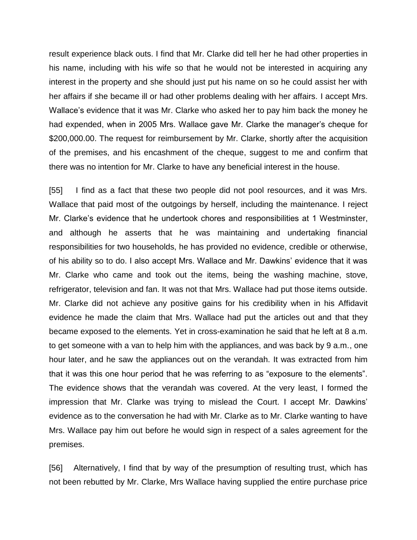result experience black outs. I find that Mr. Clarke did tell her he had other properties in his name, including with his wife so that he would not be interested in acquiring any interest in the property and she should just put his name on so he could assist her with her affairs if she became ill or had other problems dealing with her affairs. I accept Mrs. Wallace's evidence that it was Mr. Clarke who asked her to pay him back the money he had expended, when in 2005 Mrs. Wallace gave Mr. Clarke the manager's cheque for \$200,000.00. The request for reimbursement by Mr. Clarke, shortly after the acquisition of the premises, and his encashment of the cheque, suggest to me and confirm that there was no intention for Mr. Clarke to have any beneficial interest in the house.

[55] I find as a fact that these two people did not pool resources, and it was Mrs. Wallace that paid most of the outgoings by herself, including the maintenance. I reject Mr. Clarke's evidence that he undertook chores and responsibilities at 1 Westminster, and although he asserts that he was maintaining and undertaking financial responsibilities for two households, he has provided no evidence, credible or otherwise, of his ability so to do. I also accept Mrs. Wallace and Mr. Dawkins' evidence that it was Mr. Clarke who came and took out the items, being the washing machine, stove, refrigerator, television and fan. It was not that Mrs. Wallace had put those items outside. Mr. Clarke did not achieve any positive gains for his credibility when in his Affidavit evidence he made the claim that Mrs. Wallace had put the articles out and that they became exposed to the elements. Yet in cross-examination he said that he left at 8 a.m. to get someone with a van to help him with the appliances, and was back by 9 a.m., one hour later, and he saw the appliances out on the verandah. It was extracted from him that it was this one hour period that he was referring to as "exposure to the elements". The evidence shows that the verandah was covered. At the very least, I formed the impression that Mr. Clarke was trying to mislead the Court. I accept Mr. Dawkins' evidence as to the conversation he had with Mr. Clarke as to Mr. Clarke wanting to have Mrs. Wallace pay him out before he would sign in respect of a sales agreement for the premises.

[56] Alternatively, I find that by way of the presumption of resulting trust, which has not been rebutted by Mr. Clarke, Mrs Wallace having supplied the entire purchase price